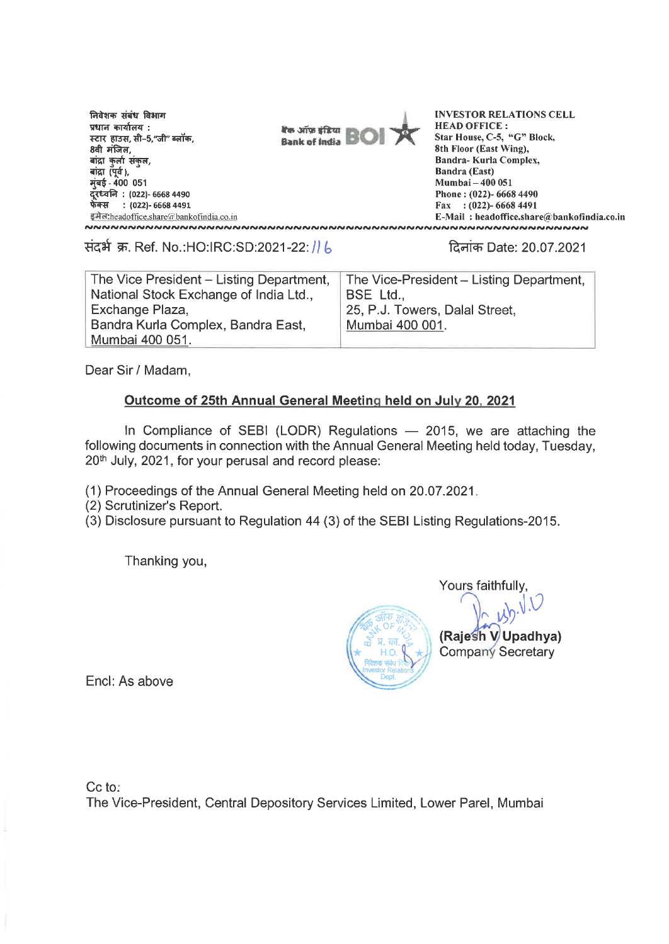निवेशक संबंध विभाग **प्रधान कार्यालय**ः स्टार हाउस, सी–5,"जी" ब्लॉक,<br>8वी मंजिल, बांद्रा कुर्ला संकुल,<br>बांद्रा (पूर्व ), **म्बई - 400 051 : (022)- 6668 4490 \*WIT : (022)- 6668 4491** 



<u>stariheadoffice.share@bankofindia.co.in</u><br>VONDONOVINIMONO DEL MAIL : headoffice.share@bankofin<br>VONDONOVINIMONOVINIMONO DEL MAIL : headoffice.share@bankofin **INVESTOR RELATIONS CELL HEAD OFFICE : Star House, C-5, "G" Block, 8th Floor (East Wing), Bandra- Kurla Complex, Bandra (East) Mumbai — 400 051 Phone : (022)- 6668 4490 Fax : (022)- 6668 4491 E-Mail : headoffice.share@bankofindia.co.in** 

w. Ref. No.:HO:IRC:SD:2021-22: tFt- Date: 20.07.2021

| The Vice President - Listing Department, | The Vice-President - Listing Department, |
|------------------------------------------|------------------------------------------|
| National Stock Exchange of India Ltd.,   | BSE Ltd.,                                |
| Exchange Plaza,                          | 25, P.J. Towers, Dalal Street,           |
| Bandra Kurla Complex, Bandra East,       | Mumbai 400 001.                          |
| Mumbai 400 051.                          |                                          |

Dear Sir / Madam,

### **Outcome of 25th Annual General Meeting held on July 20, 2021**

In Compliance of SEBI (LODR) Regulations — 2015, we are attaching the following documents in connection with the Annual General Meeting held today, Tuesday, 20th July, 2021, for your perusal and record please:

(1) Proceedings of the Annual General Meeting held on 20.07.2021\_

(2) Scrutinizer's Report.

(3) Disclosure pursuant to Regulation 44 (3) of the SEBI Listing Regulations-2015.

Thanking you,

क्ष्ट्र*भ*्णः *।*<br>क्ष्<sup>तु</sup>म् काः<br>पश्चिम  $\star$  H.O. निवेशक संबंध Investor Relations Dept.

**(Rajeslh V Upadhya)**  Company Secretary Yours faithfully,

Encl: As above

Cc to:

The Vice-President, Central Depository Services Limited, Lower Pare!, Mumbai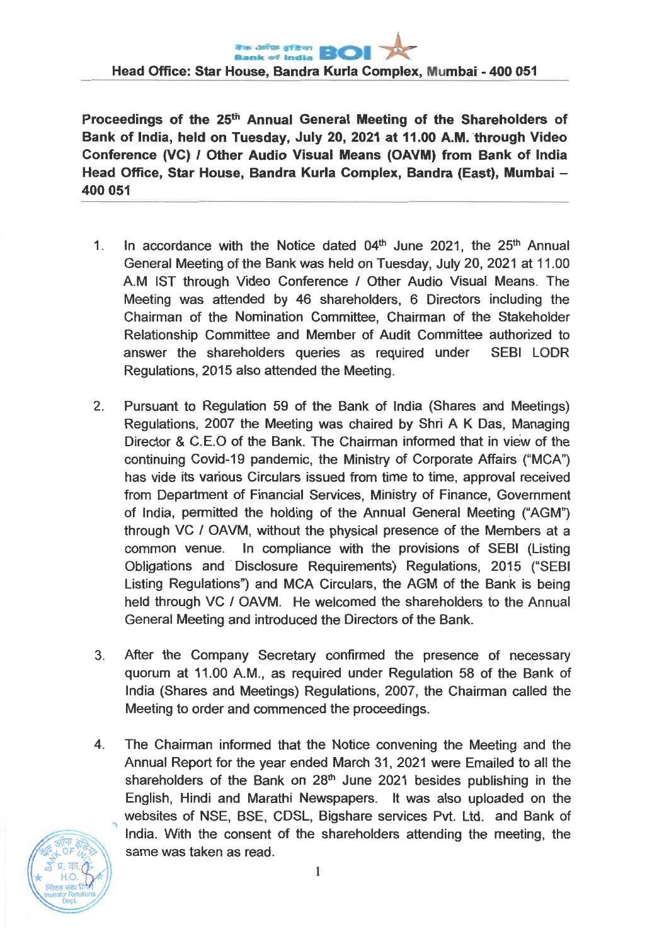**Proceedings of the 25th Annual General Meeting of the Shareholders of Bank of India, held on Tuesday, July 20, 2021 at 11.00 A.M. through Video Conference (VC) / Other Audio Visual Means (OAVM) from Bank of India Head Office, Star House, Bandra Kurla Complex, Bandra (East), Mumbai — 400 051** 

- 1. In accordance with the Notice dated  $04<sup>th</sup>$  June 2021, the  $25<sup>th</sup>$  Annual General Meeting of the Bank was held on Tuesday, July 20, 2021 at 11.00 A.M 1ST through Video Conference / Other Audio Visual Means. The Meeting was attended by 46 shareholders, 6 Directors including the Chairman of the Nomination Committee, Chairman of the Stakeholder Relationship Committee and Member of Audit Committee authorized to answer the shareholders queries as required under SEBI LODR Regulations, 2015 also attended the Meeting.
- 2. Pursuant to Regulation 59 of the Bank of India (Shares and Meetings) Regulations, 2007 the Meeting was chaired by Shri A K Das, Managing Director & C.E.O of the Bank. The Chairman informed that in view of the continuing Covid-19 pandemic, the Ministry of Corporate Affairs ("MCA") has vide its various Circulars issued from time to time, approval received from Department of Financial Services, Ministry of Finance, Government of India, permitted the holding of the Annual General Meeting ("AGM") through VC / OAVM, without the physical presence of the Members at a common venue. In compliance with the provisions of **SEBI** (Listing Obligations and Disclosure Requirements) Regulations, 2015 ("SEBI Listing Regulations") and MCA Circulars, the AGM of the Bank is being held through VC / OAVM. He welcomed the shareholders to the Annual General Meeting and introduced the Directors of the Bank.
- 3. After the Company Secretary confirmed the presence of necessary quorum at 11.00 A.M., as required under Regulation 58 of the Bank of India (Shares and Meetings) Regulations, 2007, the Chairman called the Meeting to order and commenced the proceedings.
- 4. The Chairman informed that the Notice convening the Meeting and the Annual Report for the year ended March 31, 2021 were Emailed to all the shareholders of the Bank on  $28<sup>th</sup>$  June 2021 besides publishing in the English, Hindi and Marathi Newspapers. It was also uploaded on the websites of NSE, BSE, CDSL, Bigshare services Pvt. Ltd. and Bank of India. With the consent of the shareholders attending the meeting, the same was taken as read.

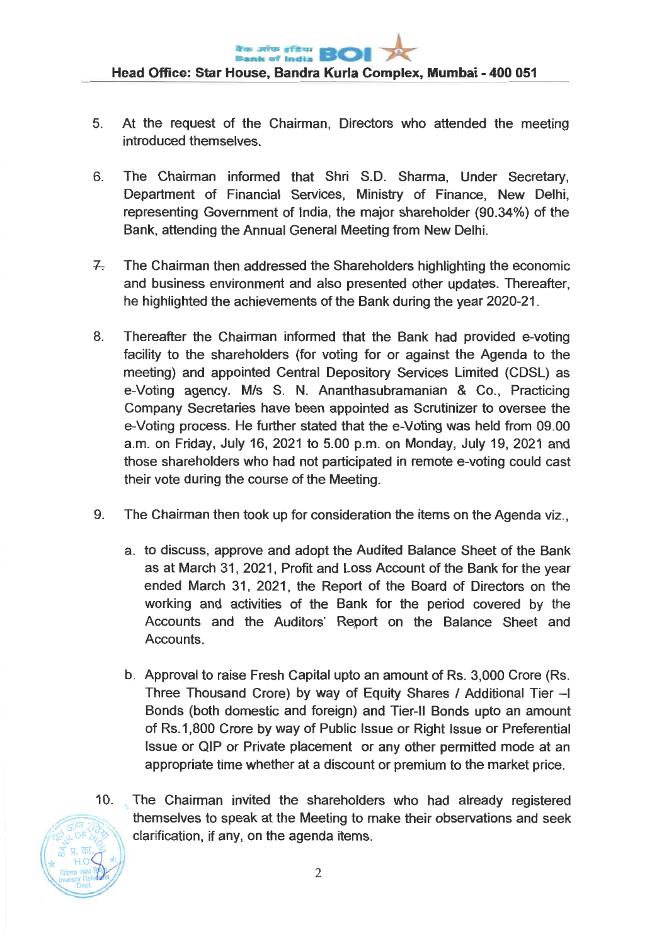- 5. At the request of the Chairman, Directors who attended the meeting introduced themselves.
- 6. The Chairman informed that Shri S.D. Sharma, Under Secretary, Department of Financial Services, Ministry of Finance, New Delhi, representing Government of India, the major shareholder (90.34%) of the Bank, attending the Annual General Meeting from New Delhi.
- 7. The Chairman then addressed the Shareholders highlighting the economic and business environment and also presented other updates. Thereafter, he highlighted the achievements of the Bank during the year 2020-21.
- 8. Thereafter the Chairman informed that the Bank had provided e-voting facility to the shareholders (for voting for or against the Agenda to the meeting) and appointed Central Depository Services Limited (CDSL) as e-Voting agency. M/s S. N. Ananthasubramanian & Co., Practicing Company Secretaries have been appointed as Scrutinizer to oversee the e-Voting process. He further stated that the e-Voting was held from 09.00 a.m. on Friday, July 16, 2021 to 5.00 p.m. on Monday, July 19, 2021 and those shareholders who had not participated in remote e-voting could cast their vote during the course of the Meeting.
- 9. The Chairman then took up for consideration the items on the Agenda viz.,
	- a. to discuss, approve and adopt the Audited Balance Sheet of the Bank as at March 31, 2021, Profit and Loss Account of the Bank for the year ended March 31, 2021, the Report of the Board of Directors on the working and activities of the Bank for the period covered by the Accounts and the Auditors' Report on the Balance Sheet and Accounts.
	- b Approval to raise Fresh Capital upto an amount of Rs. 3,000 Crore (Rs. Three Thousand Crore) by way of Equity Shares / Additional Tier —I Bonds (both domestic and foreign) and Tier-II Bonds upto an amount of Rs.1,800 Crore by way of Public Issue or Right Issue or Preferential Issue or QIP or Private placement or any other permitted mode at an appropriate time whether at a discount or premium to the market price.
- $10.$ The Chairman invited the shareholders who had already registered themselves to speak at the Meeting to make their observations and seek clarification, if any, on the agenda items.

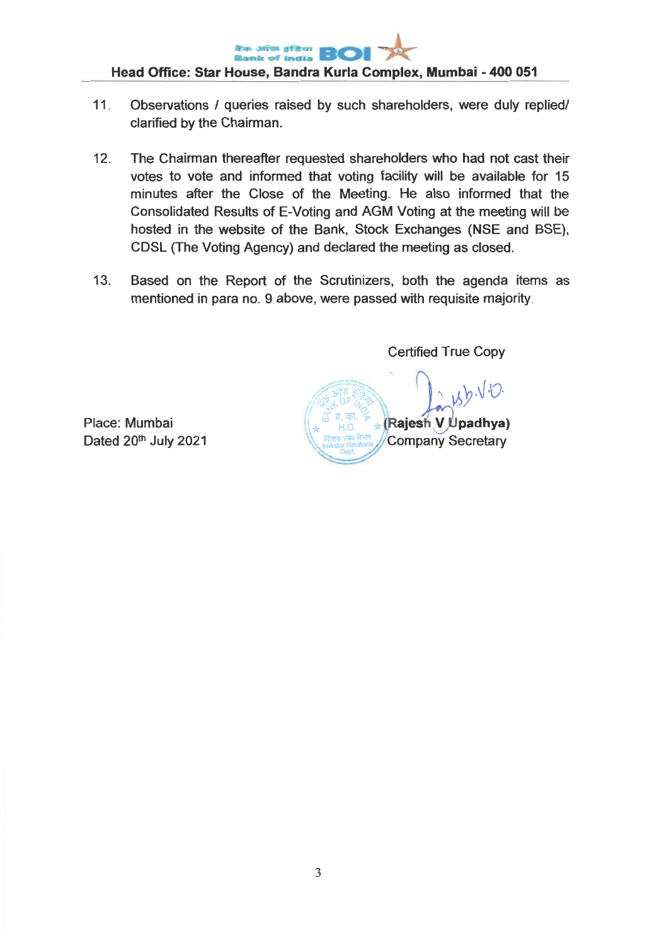

**Head Office: Star House, Bandra Kurla Complex, Mumbai - 400 051** 

- 11 Observations / queries raised by such shareholders, were duly replied/ clarified by the Chairman.
- 12. The Chairman thereafter requested shareholders who had not cast their votes to vote and informed that voting facility will be available for 15 minutes after the Close of the Meeting. He also informed that the Consolidated Results of E-Voting and AGM Voting at the meeting will be hosted in the website of the Bank, Stock Exchanges (NSE and BSE), CDSL (The Voting Agency) and declared the meeting as closed.
- 13. Based on the Report of the Scrutinizers, both the agenda items as mentioned in para no. 9 above, were passed with requisite majority

Certified True Copy

**A**<br><sub>**P + 9H**<br><sub>**P + 9H**<br>B = 8H</sub></sub>  $(b.\sqrt{C}$ **...---z\_-7- k (L - ,.. <sup>4</sup> 0.. 7 .(Rajesh V tipadhya) Company Secretary** 

Place: Mumbai Dated 20<sup>th</sup> July 2021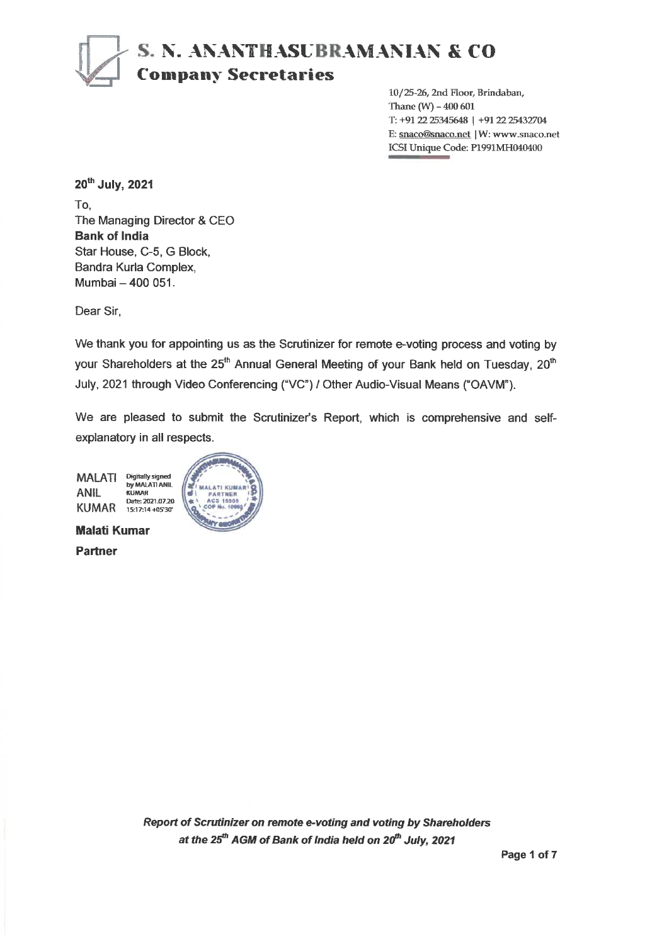# **S. N. ANANVIASUBRAMANIAN & CO Company Secretaries**

10/25-26, 2nd Floor, Brindaban, Thane (W) - 400 601 T: +91 22 25345648 | +91 22 25432704 E: snaco@snaco.net | W: www.snaco.net ICSI Unique Code: P1991MH040400

20th July, 2021

To, The Managing Director & CEO **Bank of India**  Star House, C-5, G Block, Bandra Kuria Complex, Mumbai — 400 051.

Dear Sir,

We thank you for appointing us as the Scrutinizer for remote e-voting process and voting by your Shareholders at the 25<sup>th</sup> Annual General Meeting of your Bank held on Tuesday, 20<sup>th</sup> July, 2021 through Video Conferencing ("VC") / Other Audio-Visual Means ("OAVM").

We are pleased to submit the Scrutinizer's Report, which is comprehensive and selfexplanatory in all respects.

MALATI ANIL KUMAR Digitally signed by MALATI ANIL KUMAR Date:2021.0720 15:17:14 +0530'



**Malati Kumar** 

**Partner**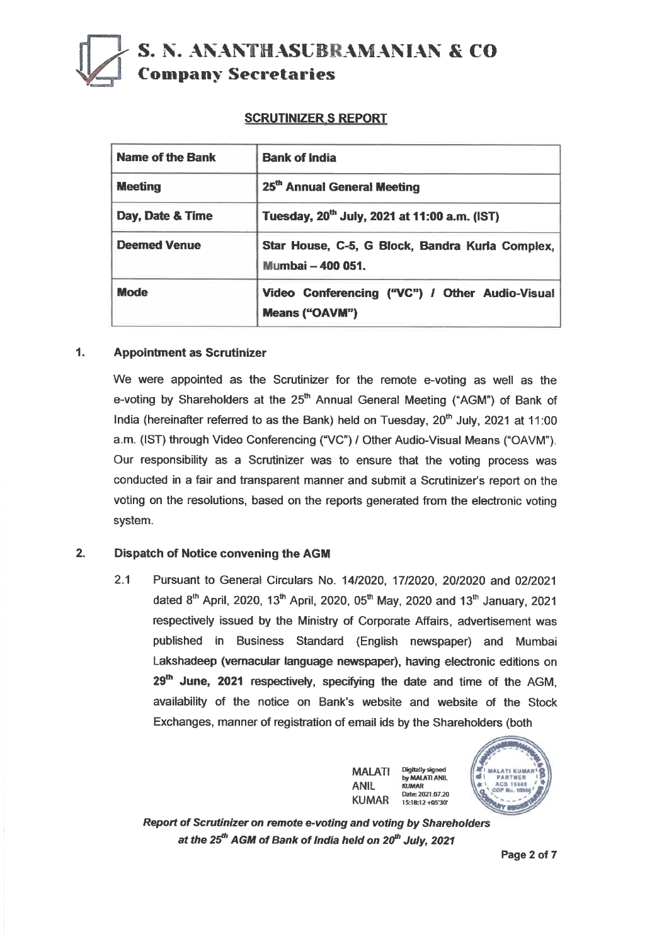## **S. N. ANANTHASUBRAMANIAN & CO Company Secretaries**

#### **SCRUTINIZER S REPORT**

| Name of the Bank    | <b>Bank of India</b>                                                    |
|---------------------|-------------------------------------------------------------------------|
| <b>Meeting</b>      | 25th Annual General Meeting                                             |
| Day, Date & Time    | Tuesday, 20 <sup>th</sup> July, 2021 at 11:00 a.m. (IST)                |
| <b>Deemed Venue</b> | Star House, C-5, G Block, Bandra Kurla Complex,<br>Mumbai - 400 051.    |
| <b>Mode</b>         | Video Conferencing ("VC") / Other Audio-Visual<br><b>Means ("OAVM")</b> |

#### **1. Appointment as Scrutinizer**

**We were appointed as the Scrutinizer for the remote e-voting as well as the**  e-voting by Shareholders at the 25<sup>th</sup> Annual General Meeting ("AGM") of Bank of India (hereinafter referred to as the Bank) held on Tuesday, 20<sup>th</sup> July, 2021 at 11:00 **a.m. (IST) through Video Conferencing ("VC") / Other Audio-Visual Means ("OAVM"). Our responsibility as a Scrutinizer was to ensure that the voting process was conducted in a fair and transparent manner and submit a Scrutinizer's report on the voting on the resolutions, based on the reports generated from the electronic voting system.** 

#### **2. Dispatch of Notice convening the AGM**

**2.1 Pursuant to General Circulars No. 14/2020, 17/2020, 20/2020 and 02/2021**  dated 8<sup>th</sup> April, 2020, 13<sup>th</sup> April, 2020, 05<sup>th</sup> May, 2020 and 13<sup>th</sup> January, 2021 **respectively issued by the Ministry of Corporate Affairs, advertisement was published in Business Standard (English newspaper) and Mumbai Lakshadeep (vernacular language newspaper), having electronic editions on**  29<sup>th</sup> June, 2021 respectively, specifying the date and time of the AGM, **availability of the notice on Bank's website and website of the Stock Exchanges, manner of registration of email ids by the Shareholders (both** 





**Report of Scrutinizer on remote e-voting and voting by Shareholders**  at the 25<sup>th</sup> AGM of Bank of India held on 20<sup>th</sup> July, 2021

**Page 2 of 7**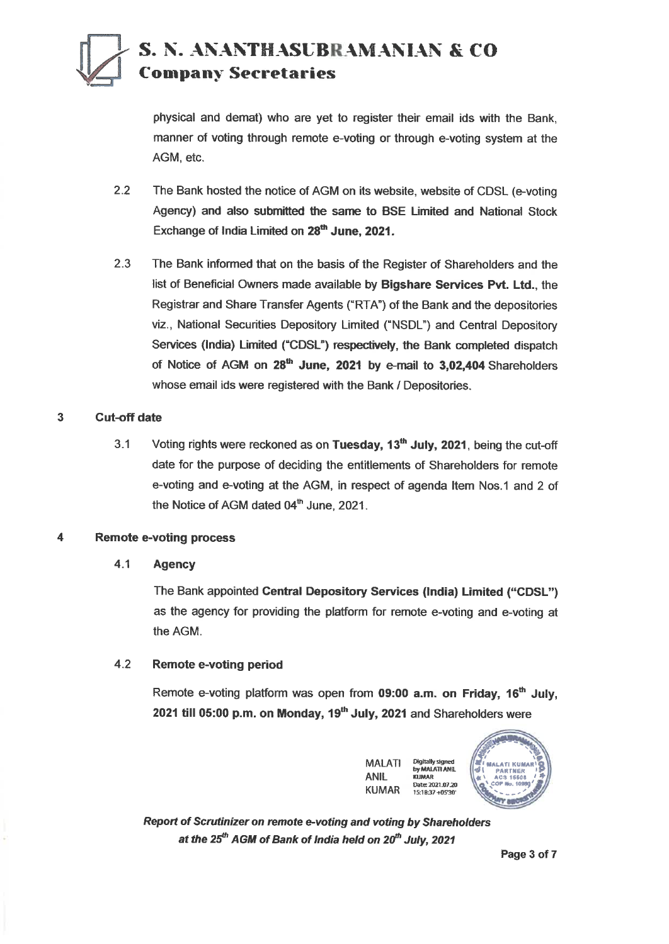## **S. N. ANANTHASUBRAMANIAN & CO ) <sup>1</sup>Company Secretaries**

physical and demat) who are yet to register their email ids with the Bank, manner of voting through remote e-voting or through e-voting system at the AGM, etc.

- 2.2 The Bank hosted the notice of AGM on its website, website of CDSL (e-voting Agency) **and also submitted the same to BSE Limited and National Stock**  Exchange of India Limited on 28<sup>th</sup> June, 2021.
- 2.3 The Bank informed that on the basis of the Register of Shareholders and the list of Beneficial Owners made available by **Bigshare Services Pvt. Ltd.,** the Registrar and Share Transfer Agents ("RTA") of the Bank and the depositories viz., National Securities Depository Limited ("NSDL") and Central Depository Services **(India) Limited ("CDSL") respectively, the Bank completed dispatch**  of Notice of AGM on 28<sup>th</sup> June, 2021 by e-mail to 3,02,404 Shareholders whose email ids were registered with the Bank / Depositories.

#### **3 Cut-off date**

3.1 Voting rights were reckoned as on **Tuesday, 13th July, 2021,** being the cut-off date for the purpose of deciding the entitlements of Shareholders for remote e-voting and e-voting at the AGM, in respect of agenda Item Nos.1 and 2 of the Notice of AGM dated 04<sup>th</sup> June, 2021.

### **4 Remote e-voting process**

#### **4.1 Agency**

The Bank appointed **Central Depository Services (India) Limited ("CDSL")**  as the agency for providing the platform for remote e-voting and e-voting at the AGM.

#### 4.2 **Remote e-voting period**

Remote e-voting platform was open from 09:00 a.m. on Friday, 16<sup>th</sup> July, **2021 till 05:00 p.m. on Monday, 19<sup>th</sup> July, 2021 and Shareholders were** 

> **MALATI ANIL KUMAR Digitally signed by MALATI ANA KUMAR Dates 1021.07.20 15:1837+45'30'**



**Report of Scrutinizer on remote e-voting and voting by Shareholders**  at the 25<sup>th</sup> AGM of Bank of India held on 20<sup>th</sup> July, 2021

**Page 3 of 7**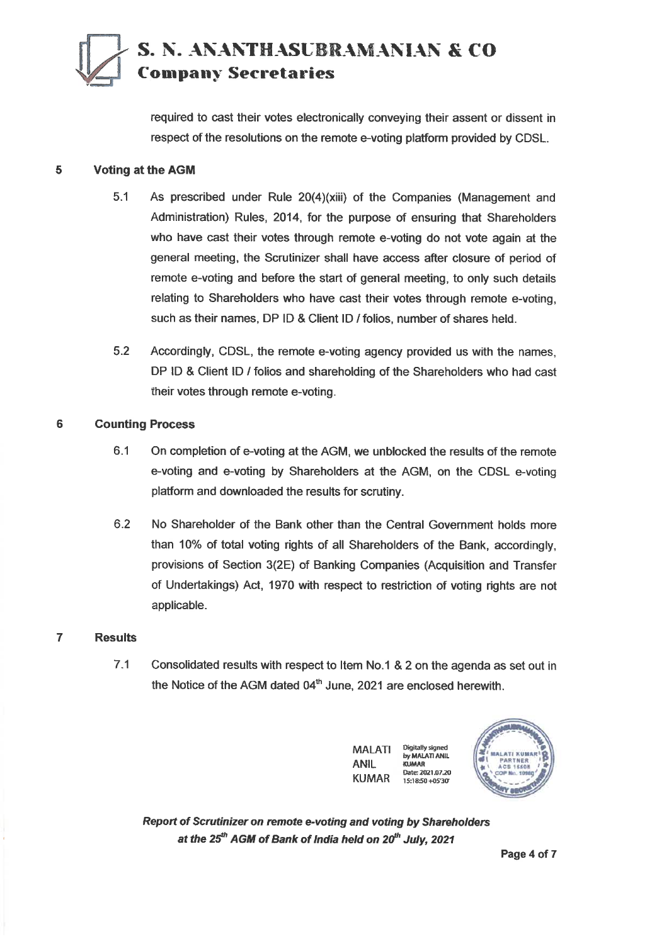## **S. N. ANANTHASUBRAMANIAN & CO Company Secretaries**

**required to cast their votes electronically conveying their assent or dissent in respect of the resolutions on the remote e-voting platform provided by CDSL.** 

#### **5 Voting at the AGM**

- **5.1 As prescribed under Rule 20(4)(xiii) of the Companies (Management and Administration) Rules, 2014, for the purpose of ensuring that Shareholders who have cast their votes through remote e-voting do not vote again at the general meeting, the Scrutinizer shall have access after closure of period of remote e-voting and before the start of general meeting, to only such details relating to Shareholders who have cast their votes through remote e-voting, such as their names, DP ID & Client ID / folios, number of shares held.**
- **5.2 Accordingly, CDSL, the remote e-voting agency provided us with the names, DP ID & Client ID / folios and shareholding of the Shareholders who had cast their votes through remote e-voting.**

### **6 Counting Process**

- **6.1 On completion of e-voting at the AGM, we unblocked the results of the remote e-voting and e-voting by Shareholders at the AGM, on the CDSL e-voting platform and downloaded the results for scrutiny.**
- **6.2 No Shareholder of the Bank other than the Central Government holds more than 10% of total voting rights of all Shareholders of the Bank, accordingly, provisions of Section 3(2E) of Banking Companies (Acquisition and Transfer of Undertakings) Act, 1970 with respect to restriction of voting rights are not applicable.**

#### **7 Results**

**7.1 Consolidated results with respect to Item No.1 & 2 on the agenda as set out in**  the Notice of the AGM dated 04<sup>th</sup> June, 2021 are enclosed herewith.





**Report of Scrutinizer on remote e-voting and voting by Shareholders**  at the 25<sup>th</sup> AGM of Bank of India held on 20<sup>th</sup> July, 2021

**Page 4 of 7**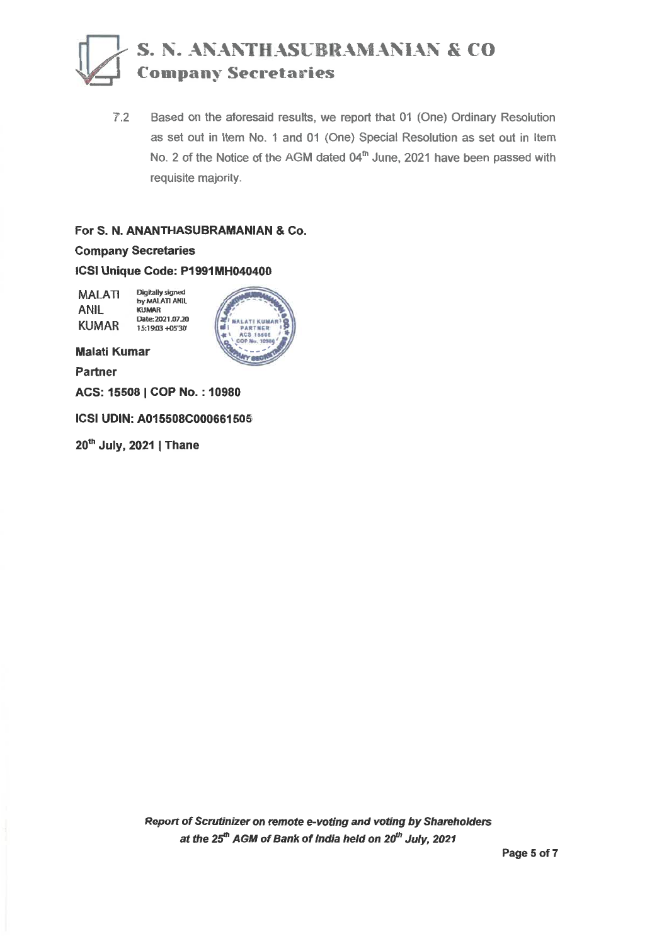## **S. N. ANANTHASUBRAMANIAN & CO ..=.1 Company Secretaries**

7.2 Based on the aforesaid results, we report that 01 (One) Ordinary Resolution as set out in Item No. 1 and 01 (One) Special Resolution as set out in Item No. 2 of the Notice of the AGM dated 04<sup>th</sup> June, 2021 have been passed with requisite majority.

#### For S. N. **ANANTHASUBRAMANIAN &** Co.

Company Secretaries

ICSI **Unique Code: P1991MH040400** 

MALATI ANIL KUMAR Digitally signed by MALAT1 ANIL KUMAR Date:2021.0720 15:19:03 +05'30'



Malati Kumar

Partner

ACS: 15508 I COP No. : 10980

ICSI UDIN: A015508C000661505

20<sup>th</sup> July, 2021 | Thane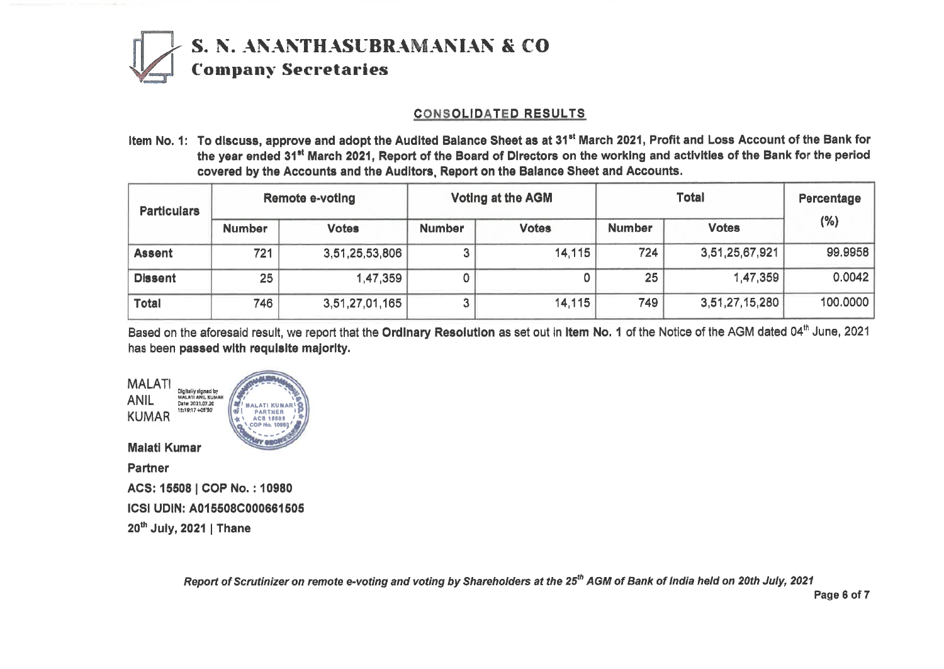

### **CONSOLIDATED RESULTS**

**Item No. 1: To discuss, approve and adopt the Audited Balance Sheet as at 31° March 2021, Profit and Loss Account of the Bank for the year ended 31° March 2021, Report of the Board of Directors on the working and activities of the Bank for the period covered by the Accounts and the Auditors, Report on the Balance Sheet and Accounts.** 

| <b>Remote e-voting</b><br><b>Particulars</b> |               |                | <b>Voting at the AGM</b>      |         |               | Percentage     |          |
|----------------------------------------------|---------------|----------------|-------------------------------|---------|---------------|----------------|----------|
|                                              | <b>Number</b> | <b>Votes</b>   | <b>Votes</b><br><b>Number</b> |         | <b>Number</b> | <b>Votes</b>   | (%)      |
| <b>Assent</b>                                | 721           | 3,51,25,53,806 |                               | 14, 115 | 724           | 3,51,25,67,921 | 99.9958  |
| <b>Dissent</b>                               | 25            | 1,47,359       |                               |         | 25            | 1,47,359       | 0.0042   |
| Total                                        | 746           | 3,51,27,01,165 |                               | 14, 115 | 749           | 3,51,27,15,280 | 100.0000 |

Based on the aforesaid result, we report that the Ordinary Resolution as set out in Item No. 1 of the Notice of the AGM dated 04<sup>th</sup> June, 2021 **has been passed with requisite majority.** 

**MALATI KUMARt PARTNER \*%. ACS 165011 ii:0:e.1099# MALATI Digitally signad by<br>MALATI ANIL KUMAR ANIL MALATI ANIL KUMAR Date 2021.07.20 KUMAR 1S.1017 4010' Malati Kumar Partner ACS: 15508 I COP No. : 10980 ICS( UDIN: A015508C000661505 20thJuly, 2021 I Thane** 

Report of Scrutinizer on remote e-voting and voting by Shareholders at the 25<sup>th</sup> AGM of Bank of India held on 20th July, 2021

**Page 6 of 7**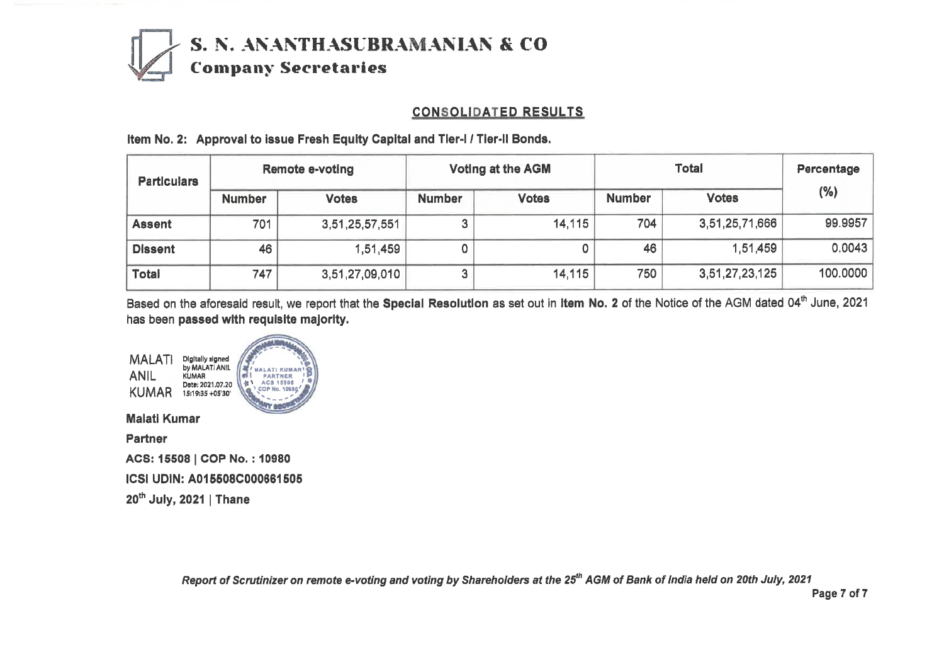

### **CONSOLIDATED RESULTS**

| <b>Particulars</b> | <b>Remote e-voting</b> |                | <b>Voting at the AGM</b> |              |               | Percentage     |          |  |
|--------------------|------------------------|----------------|--------------------------|--------------|---------------|----------------|----------|--|
|                    | <b>Number</b>          | <b>Votes</b>   | <b>Number</b>            | <b>Votes</b> | <b>Number</b> | <b>Votes</b>   | (%)      |  |
| <b>Assent</b>      | 701                    | 3,51,25,57,551 |                          | 14,115       | 704           | 3,51,25,71,666 | 99.9957  |  |
| <b>Dissent</b>     | 46                     | 1,51,459       |                          |              | 46            | 1,51,459       | 0.0043   |  |
| <b>Total</b>       | 747                    | 3,51,27,09,010 |                          | 14,115       | 750           | 3,51,27,23,125 | 100.0000 |  |

**Item No. 2: Approval to issue Fresh Equity Capital and Tier-I / Tier-II Bonds.** 

Based on the aforesaid result, we report that the Special Resolution as set out in Item No. 2 of the Notice of the AGM dated 04<sup>th</sup> June, 2021 has been **passed with requisite majority.** 

Digitally signed by MALATI ANIL MALATI **I. •**  / af **MALATI KUMAR<sup>I</sup>S<br>Bi PARTNER IP<br>41 ACS 15505 / T** ANIL KUMAR Date: 2021.07.20 KUMAR 15:1935 +0530' **GOP No. 100691 Maiati Kumar Partner ACS: 15508 I COP No. : 10980 ICS' UDIN: A015508C000881505 20th July, 2021 | Thane** 

**Report of Scrutinizer on remote e-voting and voting by Shareholders at the 25***th* **AGM of Bank of India held on 20th July, 2021** 

**Page 7 of 7**